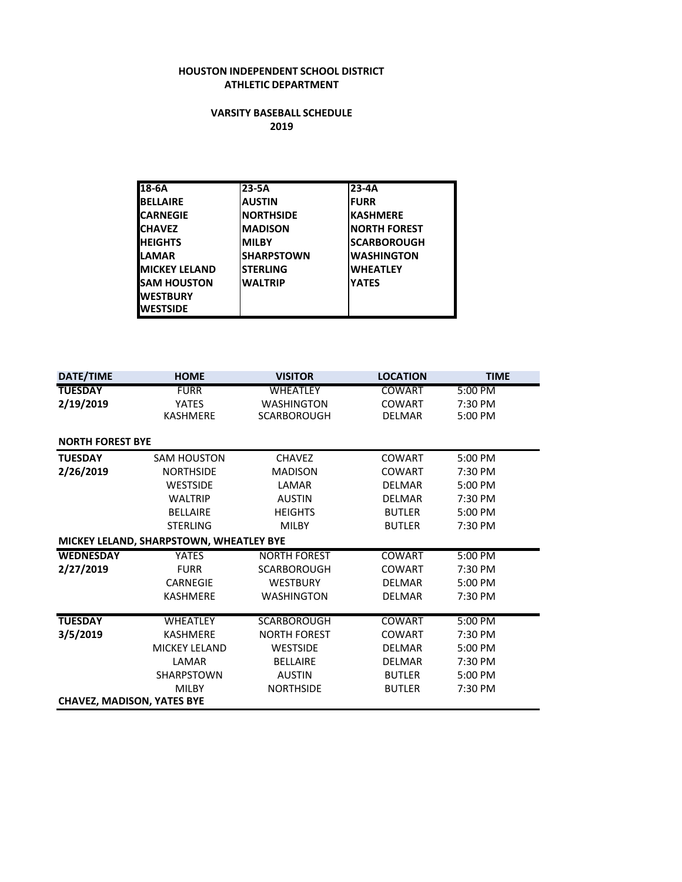#### **HOUSTON INDEPENDENT SCHOOL DISTRICT ATHLETIC DEPARTMENT**

#### **VARSITY BASEBALL SCHEDULE 2019**

| $18-6A$               | $23-5A$           | $23-4A$             |
|-----------------------|-------------------|---------------------|
| <b>BELLAIRE</b>       | <b>AUSTIN</b>     | <b>FURR</b>         |
| <b>CARNEGIE</b>       | <b>NORTHSIDE</b>  | <b>KASHMERE</b>     |
| <b>CHAVEZ</b>         | <b>MADISON</b>    | <b>NORTH FOREST</b> |
| <b>IHEIGHTS</b>       | <b>MILBY</b>      | <b>SCARBOROUGH</b>  |
| <b>ILAMAR</b>         | <b>SHARPSTOWN</b> | <b>WASHINGTON</b>   |
| <b>IMICKEY LELAND</b> | <b>STERLING</b>   | <b>WHEATLEY</b>     |
| <b>I</b> SAM HOUSTON  | <b>WALTRIP</b>    | <b>YATES</b>        |
| <b>IWESTBURY</b>      |                   |                     |
| <b>WESTSIDE</b>       |                   |                     |

| DATE/TIME                         | <b>HOME</b>                             | <b>VISITOR</b>      | <b>LOCATION</b> | <b>TIME</b> |
|-----------------------------------|-----------------------------------------|---------------------|-----------------|-------------|
| <b>TUESDAY</b>                    | <b>FURR</b>                             | <b>WHEATLEY</b>     | <b>COWART</b>   | 5:00 PM     |
| 2/19/2019                         | <b>YATES</b>                            | <b>WASHINGTON</b>   | <b>COWART</b>   | 7:30 PM     |
|                                   | <b>KASHMERE</b>                         | SCARBOROUGH         | <b>DELMAR</b>   | 5:00 PM     |
|                                   |                                         |                     |                 |             |
| <b>NORTH FOREST BYE</b>           |                                         |                     |                 |             |
| <b>TUESDAY</b>                    | <b>SAM HOUSTON</b>                      | <b>CHAVEZ</b>       | <b>COWART</b>   | 5:00 PM     |
| 2/26/2019                         | <b>NORTHSIDE</b>                        | <b>MADISON</b>      | <b>COWART</b>   | 7:30 PM     |
|                                   | <b>WESTSIDE</b>                         | LAMAR               | <b>DELMAR</b>   | 5:00 PM     |
|                                   | <b>WALTRIP</b>                          | <b>AUSTIN</b>       | <b>DELMAR</b>   | 7:30 PM     |
|                                   | <b>BELLAIRE</b>                         | <b>HEIGHTS</b>      | <b>BUTLER</b>   | 5:00 PM     |
|                                   | <b>STERLING</b>                         | <b>MILBY</b>        | <b>BUTLER</b>   | 7:30 PM     |
|                                   | MICKEY LELAND, SHARPSTOWN, WHEATLEY BYE |                     |                 |             |
| <b>WEDNESDAY</b>                  | <b>YATES</b>                            | <b>NORTH FOREST</b> | <b>COWART</b>   | 5:00 PM     |
| 2/27/2019                         | <b>FURR</b>                             | <b>SCARBOROUGH</b>  | <b>COWART</b>   | 7:30 PM     |
|                                   | <b>CARNEGIE</b>                         | <b>WESTBURY</b>     | <b>DELMAR</b>   | 5:00 PM     |
|                                   | <b>KASHMERE</b>                         | <b>WASHINGTON</b>   | <b>DELMAR</b>   | 7:30 PM     |
|                                   |                                         |                     |                 |             |
| <b>TUESDAY</b>                    | <b>WHEATLEY</b>                         | <b>SCARBOROUGH</b>  | <b>COWART</b>   | 5:00 PM     |
| 3/5/2019                          | KASHMERE                                | <b>NORTH FOREST</b> | <b>COWART</b>   | 7:30 PM     |
|                                   | <b>MICKEY LELAND</b>                    | <b>WESTSIDE</b>     | <b>DELMAR</b>   | 5:00 PM     |
|                                   | LAMAR                                   | <b>BELLAIRE</b>     | <b>DELMAR</b>   | 7:30 PM     |
|                                   | <b>SHARPSTOWN</b>                       | <b>AUSTIN</b>       | <b>BUTLER</b>   | 5:00 PM     |
|                                   | <b>MILBY</b>                            | <b>NORTHSIDE</b>    | <b>BUTLER</b>   | 7:30 PM     |
| <b>CHAVEZ, MADISON, YATES BYE</b> |                                         |                     |                 |             |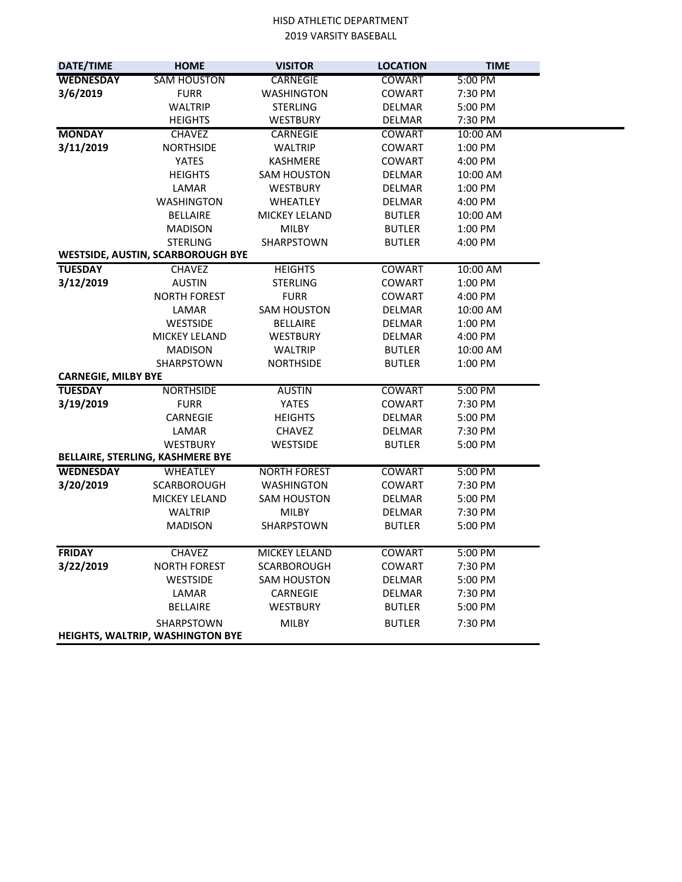| DATE/TIME                  | <b>HOME</b>                              | <b>VISITOR</b>       | <b>LOCATION</b> | <b>TIME</b> |
|----------------------------|------------------------------------------|----------------------|-----------------|-------------|
| <b>WEDNESDAY</b>           | <b>SAM HOUSTON</b>                       | <b>CARNEGIE</b>      | <b>COWART</b>   | 5:00 PM     |
| 3/6/2019                   | <b>FURR</b>                              | <b>WASHINGTON</b>    | <b>COWART</b>   | 7:30 PM     |
|                            | <b>WALTRIP</b>                           | <b>STERLING</b>      | DELMAR          | 5:00 PM     |
|                            | <b>HEIGHTS</b>                           | WESTBURY             | DELMAR          | 7:30 PM     |
| <b>MONDAY</b>              | <b>CHAVEZ</b>                            | CARNEGIE             | <b>COWART</b>   | 10:00 AM    |
| 3/11/2019                  | <b>NORTHSIDE</b>                         | <b>WALTRIP</b>       | <b>COWART</b>   | 1:00 PM     |
|                            | <b>YATES</b>                             | <b>KASHMERE</b>      | <b>COWART</b>   | 4:00 PM     |
|                            | <b>HEIGHTS</b>                           | <b>SAM HOUSTON</b>   | <b>DELMAR</b>   | 10:00 AM    |
|                            | LAMAR                                    | <b>WESTBURY</b>      | DELMAR          | 1:00 PM     |
|                            | <b>WASHINGTON</b>                        | <b>WHEATLEY</b>      | <b>DELMAR</b>   | 4:00 PM     |
|                            | <b>BELLAIRE</b>                          | <b>MICKEY LELAND</b> | <b>BUTLER</b>   | 10:00 AM    |
|                            | <b>MADISON</b>                           | MILBY                | <b>BUTLER</b>   | 1:00 PM     |
|                            | <b>STERLING</b>                          | SHARPSTOWN           | <b>BUTLER</b>   | 4:00 PM     |
|                            | <b>WESTSIDE, AUSTIN, SCARBOROUGH BYE</b> |                      |                 |             |
| <b>TUESDAY</b>             | <b>CHAVEZ</b>                            | <b>HEIGHTS</b>       | <b>COWART</b>   | 10:00 AM    |
| 3/12/2019                  | <b>AUSTIN</b>                            | <b>STERLING</b>      | <b>COWART</b>   | 1:00 PM     |
|                            | <b>NORTH FOREST</b>                      | <b>FURR</b>          | <b>COWART</b>   | 4:00 PM     |
|                            | LAMAR                                    | <b>SAM HOUSTON</b>   | <b>DELMAR</b>   | 10:00 AM    |
|                            | <b>WESTSIDE</b>                          | <b>BELLAIRE</b>      | DELMAR          | 1:00 PM     |
|                            | <b>MICKEY LELAND</b>                     | <b>WESTBURY</b>      | DELMAR          | 4:00 PM     |
|                            | <b>MADISON</b>                           | <b>WALTRIP</b>       | <b>BUTLER</b>   | 10:00 AM    |
|                            | SHARPSTOWN                               | <b>NORTHSIDE</b>     | <b>BUTLER</b>   | 1:00 PM     |
| <b>CARNEGIE, MILBY BYE</b> |                                          |                      |                 |             |
| <b>TUESDAY</b>             | <b>NORTHSIDE</b>                         | <b>AUSTIN</b>        | <b>COWART</b>   | 5:00 PM     |
| 3/19/2019                  | <b>FURR</b>                              | YATES                | <b>COWART</b>   | 7:30 PM     |
|                            | CARNEGIE                                 | <b>HEIGHTS</b>       | DELMAR          | 5:00 PM     |
|                            | LAMAR                                    | CHAVEZ               | DELMAR          | 7:30 PM     |
|                            | WESTBURY                                 | WESTSIDE             | <b>BUTLER</b>   | 5:00 PM     |
|                            | BELLAIRE, STERLING, KASHMERE BYE         |                      |                 |             |
| <b>WEDNESDAY</b>           | WHEATLEY                                 | <b>NORTH FOREST</b>  | <b>COWART</b>   | 5:00 PM     |
| 3/20/2019                  | <b>SCARBOROUGH</b>                       | <b>WASHINGTON</b>    | <b>COWART</b>   | 7:30 PM     |
|                            | <b>MICKEY LELAND</b>                     | SAM HOUSTON          | DELMAR          | 5:00 PM     |
|                            | <b>WALTRIP</b>                           | MILBY                | DELMAR          | 7:30 PM     |
|                            | <b>MADISON</b>                           | SHARPSTOWN           | <b>BUTLER</b>   | 5:00 PM     |
|                            |                                          |                      |                 |             |
| <b>FRIDAY</b>              | <b>CHAVEZ</b>                            | MICKEY LELAND        | <b>COWART</b>   | 5:00 PM     |
| 3/22/2019                  | <b>NORTH FOREST</b>                      | <b>SCARBOROUGH</b>   | <b>COWART</b>   | 7:30 PM     |
|                            | WESTSIDE                                 | <b>SAM HOUSTON</b>   | DELMAR          | 5:00 PM     |
|                            | LAMAR                                    | CARNEGIE             | DELMAR          | 7:30 PM     |
|                            | <b>BELLAIRE</b>                          | <b>WESTBURY</b>      | <b>BUTLER</b>   | 5:00 PM     |
|                            | SHARPSTOWN                               | <b>MILBY</b>         | <b>BUTLER</b>   | 7:30 PM     |
|                            | HEIGHTS, WALTRIP, WASHINGTON BYE         |                      |                 |             |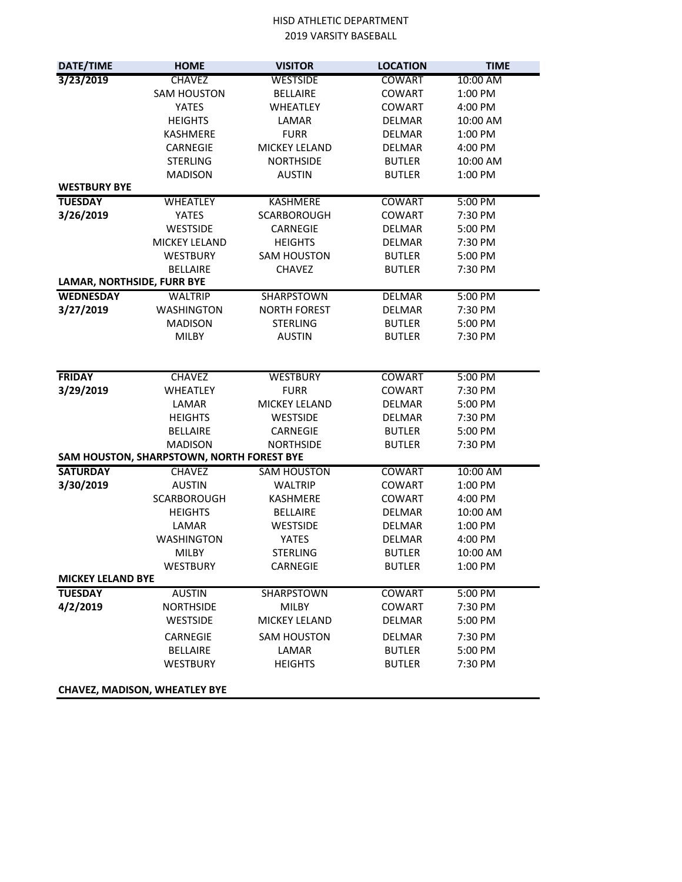| DATE/TIME                  | <b>HOME</b>                               | <b>VISITOR</b>      | <b>LOCATION</b> | <b>TIME</b> |  |
|----------------------------|-------------------------------------------|---------------------|-----------------|-------------|--|
| 3/23/2019                  | <b>CHAVEZ</b>                             | <b>WESTSIDE</b>     | <b>COWART</b>   | 10:00 AM    |  |
|                            | <b>SAM HOUSTON</b>                        | <b>BELLAIRE</b>     | <b>COWART</b>   | 1:00 PM     |  |
|                            | <b>YATES</b>                              | <b>WHEATLEY</b>     | <b>COWART</b>   | 4:00 PM     |  |
|                            | <b>HEIGHTS</b>                            | LAMAR               | <b>DELMAR</b>   | 10:00 AM    |  |
|                            | KASHMERE                                  | <b>FURR</b>         | <b>DELMAR</b>   | 1:00 PM     |  |
|                            | CARNEGIE                                  | MICKEY LELAND       | <b>DELMAR</b>   | 4:00 PM     |  |
|                            | <b>STERLING</b>                           | <b>NORTHSIDE</b>    | <b>BUTLER</b>   | 10:00 AM    |  |
|                            | <b>MADISON</b>                            | <b>AUSTIN</b>       | <b>BUTLER</b>   | 1:00 PM     |  |
| <b>WESTBURY BYE</b>        |                                           |                     |                 |             |  |
| <b>TUESDAY</b>             | <b>WHEATLEY</b>                           | <b>KASHMERE</b>     | <b>COWART</b>   | 5:00 PM     |  |
| 3/26/2019                  | <b>YATES</b>                              | <b>SCARBOROUGH</b>  | <b>COWART</b>   | 7:30 PM     |  |
|                            | <b>WESTSIDE</b>                           | CARNEGIE            | <b>DELMAR</b>   | 5:00 PM     |  |
|                            | MICKEY LELAND                             | <b>HEIGHTS</b>      | <b>DELMAR</b>   | 7:30 PM     |  |
|                            | <b>WESTBURY</b>                           | <b>SAM HOUSTON</b>  | <b>BUTLER</b>   | 5:00 PM     |  |
|                            | <b>BELLAIRE</b>                           | <b>CHAVEZ</b>       | <b>BUTLER</b>   | 7:30 PM     |  |
| LAMAR, NORTHSIDE, FURR BYE |                                           |                     |                 |             |  |
| <b>WEDNESDAY</b>           | <b>WALTRIP</b>                            | SHARPSTOWN          | DELMAR          | 5:00 PM     |  |
| 3/27/2019                  | <b>WASHINGTON</b>                         | <b>NORTH FOREST</b> | <b>DELMAR</b>   | 7:30 PM     |  |
|                            | <b>MADISON</b>                            | <b>STERLING</b>     | <b>BUTLER</b>   | 5:00 PM     |  |
|                            | MILBY                                     | <b>AUSTIN</b>       | <b>BUTLER</b>   | 7:30 PM     |  |
|                            |                                           |                     |                 |             |  |
|                            |                                           |                     |                 |             |  |
| <b>FRIDAY</b>              | <b>CHAVEZ</b>                             | <b>WESTBURY</b>     | COWART          | 5:00 PM     |  |
| 3/29/2019                  | <b>WHEATLEY</b>                           | <b>FURR</b>         | <b>COWART</b>   | 7:30 PM     |  |
|                            | LAMAR                                     | MICKEY LELAND       | DELMAR          | 5:00 PM     |  |
|                            | <b>HEIGHTS</b>                            | WESTSIDE            | DELMAR          | 7:30 PM     |  |
|                            | <b>BELLAIRE</b>                           | CARNEGIE            | <b>BUTLER</b>   | 5:00 PM     |  |
|                            | <b>MADISON</b>                            | <b>NORTHSIDE</b>    | <b>BUTLER</b>   | 7:30 PM     |  |
|                            | SAM HOUSTON, SHARPSTOWN, NORTH FOREST BYE |                     |                 |             |  |
| <b>SATURDAY</b>            | <b>CHAVEZ</b>                             | <b>SAM HOUSTON</b>  | <b>COWART</b>   | 10:00 AM    |  |
| 3/30/2019                  | <b>AUSTIN</b>                             | <b>WALTRIP</b>      | <b>COWART</b>   | 1:00 PM     |  |
|                            | <b>SCARBOROUGH</b>                        | KASHMERE            | <b>COWART</b>   | 4:00 PM     |  |
|                            | <b>HEIGHTS</b>                            | <b>BELLAIRE</b>     | <b>DELMAR</b>   | 10:00 AM    |  |
|                            | LAMAR                                     | <b>WESTSIDE</b>     | <b>DELMAR</b>   | 1:00 PM     |  |
|                            | <b>WASHINGTON</b>                         | YATES               | <b>DELMAR</b>   | 4:00 PM     |  |
|                            | MILBY                                     | <b>STERLING</b>     | <b>BUTLER</b>   | 10:00 AM    |  |
|                            | WESTBURY                                  | CARNEGIE            | <b>BUTLER</b>   | 1:00 PM     |  |
| <b>MICKEY LELAND BYE</b>   |                                           |                     |                 |             |  |
| <b>TUESDAY</b>             | <b>AUSTIN</b>                             | <b>SHARPSTOWN</b>   | <b>COWART</b>   | 5:00 PM     |  |
| 4/2/2019                   | <b>NORTHSIDE</b>                          | MILBY               | <b>COWART</b>   | 7:30 PM     |  |
|                            | <b>WESTSIDE</b>                           | MICKEY LELAND       | <b>DELMAR</b>   | 5:00 PM     |  |
|                            | CARNEGIE                                  | <b>SAM HOUSTON</b>  | <b>DELMAR</b>   | 7:30 PM     |  |
|                            | <b>BELLAIRE</b>                           | LAMAR               | <b>BUTLER</b>   | 5:00 PM     |  |
|                            | WESTBURY                                  | <b>HEIGHTS</b>      | <b>BUTLER</b>   | 7:30 PM     |  |
|                            |                                           |                     |                 |             |  |
|                            | <b>CHAVEZ, MADISON, WHEATLEY BYE</b>      |                     |                 |             |  |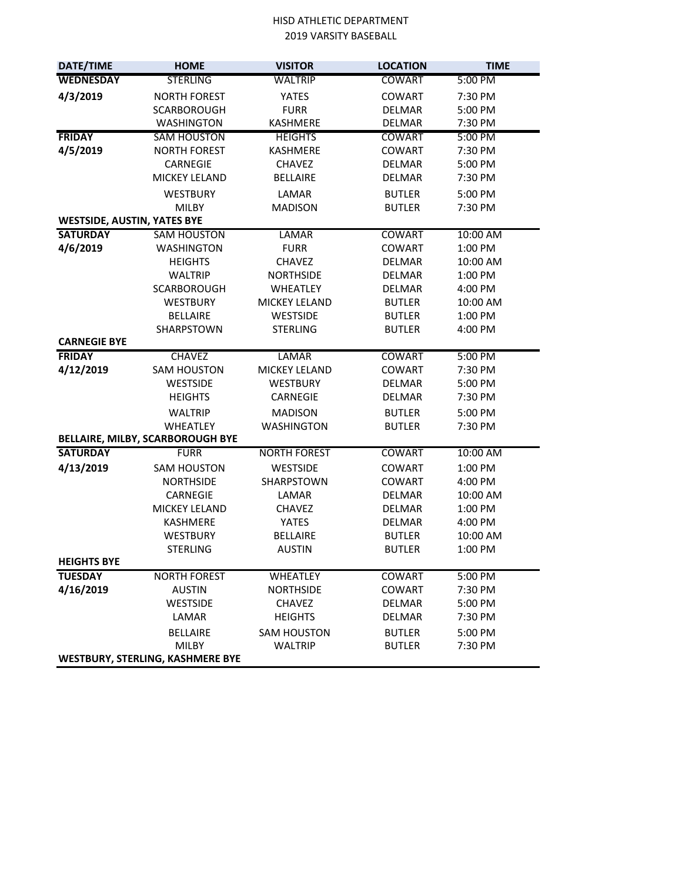| DATE/TIME                          | <b>HOME</b>                        | <b>VISITOR</b>                   | <b>LOCATION</b>                | <b>TIME</b>         |
|------------------------------------|------------------------------------|----------------------------------|--------------------------------|---------------------|
| <b>WEDNESDAY</b>                   | <b>STERLING</b>                    | <b>WALTRIP</b>                   | <b>COWART</b>                  | 5:00 PM             |
| 4/3/2019                           | <b>NORTH FOREST</b>                | <b>YATES</b>                     | <b>COWART</b>                  | 7:30 PM             |
|                                    | <b>SCARBOROUGH</b>                 | <b>FURR</b>                      | <b>DELMAR</b>                  | 5:00 PM             |
|                                    | <b>WASHINGTON</b>                  | KASHMERE                         | DELMAR                         | 7:30 PM             |
| <b>FRIDAY</b>                      | <b>SAM HOUSTON</b>                 | <b>HEIGHTS</b>                   | <b>COWART</b>                  | 5:00 PM             |
| 4/5/2019                           | <b>NORTH FOREST</b>                | KASHMERE                         | <b>COWART</b>                  | 7:30 PM             |
|                                    | CARNEGIE                           | <b>CHAVEZ</b>                    | <b>DELMAR</b>                  | 5:00 PM             |
|                                    | MICKEY LELAND                      | <b>BELLAIRE</b>                  | <b>DELMAR</b>                  | 7:30 PM             |
|                                    | <b>WESTBURY</b>                    | LAMAR                            | <b>BUTLER</b>                  | 5:00 PM             |
|                                    | <b>MILBY</b>                       | <b>MADISON</b>                   | <b>BUTLER</b>                  | 7:30 PM             |
| <b>WESTSIDE, AUSTIN, YATES BYE</b> |                                    |                                  |                                |                     |
| <b>SATURDAY</b>                    | <b>SAM HOUSTON</b>                 | <b>LAMAR</b>                     | <b>COWART</b>                  | 10:00 AM            |
| 4/6/2019                           | <b>WASHINGTON</b>                  | <b>FURR</b>                      | <b>COWART</b>                  | 1:00 PM             |
|                                    | <b>HEIGHTS</b>                     | <b>CHAVEZ</b>                    | DELMAR                         | 10:00 AM            |
|                                    | <b>WALTRIP</b>                     | <b>NORTHSIDE</b>                 | <b>DELMAR</b>                  | 1:00 PM             |
|                                    | <b>SCARBOROUGH</b>                 | <b>WHEATLEY</b>                  | <b>DELMAR</b>                  | 4:00 PM             |
|                                    | <b>WESTBURY</b>                    | MICKEY LELAND                    | <b>BUTLER</b>                  | 10:00 AM            |
|                                    | <b>BELLAIRE</b>                    | WESTSIDE                         | <b>BUTLER</b>                  | 1:00 PM             |
|                                    | SHARPSTOWN                         | <b>STERLING</b>                  | <b>BUTLER</b>                  | 4:00 PM             |
| <b>CARNEGIE BYE</b>                |                                    |                                  |                                |                     |
| <b>FRIDAY</b>                      | <b>CHAVEZ</b>                      | <b>LAMAR</b>                     | <b>COWART</b>                  | 5:00 PM             |
| 4/12/2019                          | <b>SAM HOUSTON</b>                 | MICKEY LELAND                    | <b>COWART</b>                  | 7:30 PM             |
|                                    | <b>WESTSIDE</b>                    | <b>WESTBURY</b>                  | <b>DELMAR</b>                  | 5:00 PM             |
|                                    | <b>HEIGHTS</b>                     | CARNEGIE                         | <b>DELMAR</b>                  | 7:30 PM             |
|                                    | <b>WALTRIP</b>                     | <b>MADISON</b>                   | <b>BUTLER</b>                  | 5:00 PM             |
|                                    | <b>WHEATLEY</b>                    | <b>WASHINGTON</b>                | <b>BUTLER</b>                  | 7:30 PM             |
|                                    | BELLAIRE, MILBY, SCARBOROUGH BYE   |                                  |                                |                     |
| <b>SATURDAY</b>                    | <b>FURR</b>                        | <b>NORTH FOREST</b>              | <b>COWART</b>                  | 10:00 AM            |
| 4/13/2019                          | <b>SAM HOUSTON</b>                 | <b>WESTSIDE</b>                  | <b>COWART</b>                  | 1:00 PM             |
|                                    | <b>NORTHSIDE</b>                   | SHARPSTOWN                       | <b>COWART</b>                  | 4:00 PM             |
|                                    | CARNEGIE                           | LAMAR                            | <b>DELMAR</b>                  | 10:00 AM            |
|                                    | MICKEY LELAND                      | <b>CHAVEZ</b>                    | <b>DELMAR</b>                  | 1:00 PM             |
|                                    | KASHMERE                           | YATES                            | DELMAR                         | 4:00 PM             |
|                                    | <b>WESTBURY</b><br><b>STERLING</b> | <b>BELLAIRE</b><br><b>AUSTIN</b> | <b>BUTLER</b><br><b>BUTLER</b> | 10:00 AM<br>1:00 PM |
| <b>HEIGHTS BYE</b>                 |                                    |                                  |                                |                     |
| <b>TUESDAY</b>                     | <b>NORTH FOREST</b>                | <b>WHEATLEY</b>                  | <b>COWART</b>                  | 5:00 PM             |
| 4/16/2019                          | <b>AUSTIN</b>                      | <b>NORTHSIDE</b>                 | <b>COWART</b>                  | 7:30 PM             |
|                                    | <b>WESTSIDE</b>                    | <b>CHAVEZ</b>                    | <b>DELMAR</b>                  | 5:00 PM             |
|                                    | LAMAR                              | <b>HEIGHTS</b>                   | DELMAR                         | 7:30 PM             |
|                                    | <b>BELLAIRE</b>                    | <b>SAM HOUSTON</b>               | <b>BUTLER</b>                  | 5:00 PM             |
|                                    | MILBY                              | <b>WALTRIP</b>                   | <b>BUTLER</b>                  | 7:30 PM             |
|                                    |                                    |                                  |                                |                     |
| WESTBURY, STERLING, KASHMERE BYE   |                                    |                                  |                                |                     |